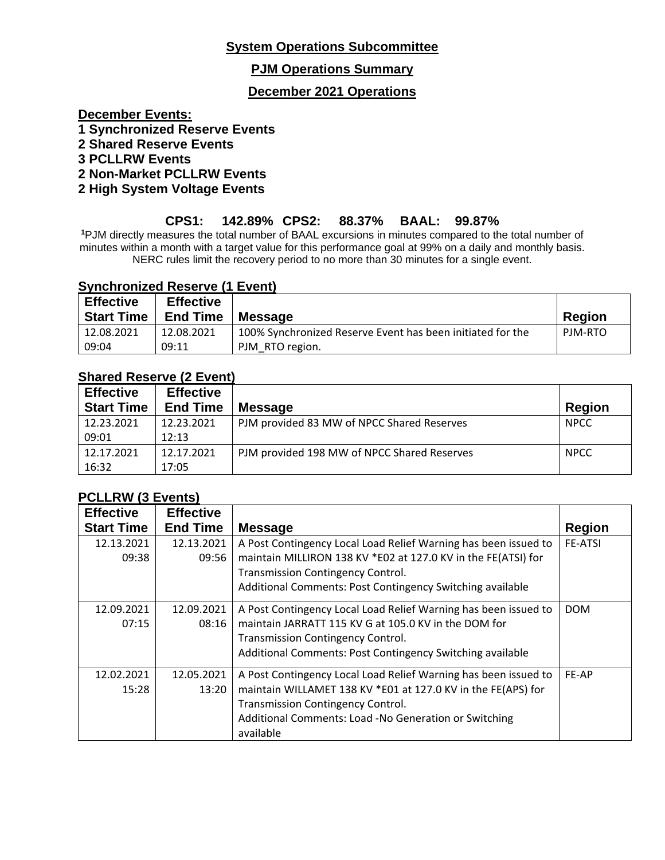## **System Operations Subcommittee**

### **PJM Operations Summary**

### **December 2021 Operations**

**December Events:**

- **1 Synchronized Reserve Events**
- **2 Shared Reserve Events**
- **3 PCLLRW Events**
- **2 Non-Market PCLLRW Events**

## **2 High System Voltage Events**

## **CPS1: 142.89% CPS2: 88.37% BAAL: 99.87%**

**<sup>1</sup>**PJM directly measures the total number of BAAL excursions in minutes compared to the total number of minutes within a month with a target value for this performance goal at 99% on a daily and monthly basis. NERC rules limit the recovery period to no more than 30 minutes for a single event.

### **Synchronized Reserve (1 Event)**

| <b>Effective</b><br><b>Start Time</b> | <b>Effective</b><br><b>End Time</b> | <b>Message</b>                                             | <b>Region</b> |
|---------------------------------------|-------------------------------------|------------------------------------------------------------|---------------|
|                                       |                                     |                                                            |               |
| 12.08.2021                            | 12.08.2021                          | 100% Synchronized Reserve Event has been initiated for the | PJM-RTO       |
| 09:04                                 | 09:11                               | PJM RTO region.                                            |               |

# **Shared Reserve (2 Event)**

| <b>Effective</b><br><b>Start Time</b> | <b>Effective</b><br><b>End Time</b> | <b>Message</b>                              | Region      |
|---------------------------------------|-------------------------------------|---------------------------------------------|-------------|
| 12.23.2021                            | 12.23.2021                          | PJM provided 83 MW of NPCC Shared Reserves  | <b>NPCC</b> |
| 09:01                                 | 12:13                               |                                             |             |
| 12.17.2021                            | 12.17.2021                          | PJM provided 198 MW of NPCC Shared Reserves | <b>NPCC</b> |
| 16:32                                 | 17:05                               |                                             |             |

# **PCLLRW (3 Events)**

| <b>Effective</b>  | <b>Effective</b> |                                                                 |                |
|-------------------|------------------|-----------------------------------------------------------------|----------------|
| <b>Start Time</b> | <b>End Time</b>  | <b>Message</b>                                                  |                |
| 12.13.2021        | 12.13.2021       | A Post Contingency Local Load Relief Warning has been issued to | <b>FE-ATSI</b> |
| 09:38             | 09:56            | maintain MILLIRON 138 KV *E02 at 127.0 KV in the FE(ATSI) for   |                |
|                   |                  | Transmission Contingency Control.                               |                |
|                   |                  | Additional Comments: Post Contingency Switching available       |                |
| 12.09.2021        | 12.09.2021       | A Post Contingency Local Load Relief Warning has been issued to | <b>DOM</b>     |
| 07:15             | 08:16            | maintain JARRATT 115 KV G at 105.0 KV in the DOM for            |                |
|                   |                  | Transmission Contingency Control.                               |                |
|                   |                  | Additional Comments: Post Contingency Switching available       |                |
| 12.02.2021        | 12.05.2021       | A Post Contingency Local Load Relief Warning has been issued to | FE-AP          |
| 15:28             | 13:20            | maintain WILLAMET 138 KV *E01 at 127.0 KV in the FE(APS) for    |                |
|                   |                  | <b>Transmission Contingency Control.</b>                        |                |
|                   |                  | Additional Comments: Load -No Generation or Switching           |                |
|                   |                  | available                                                       |                |